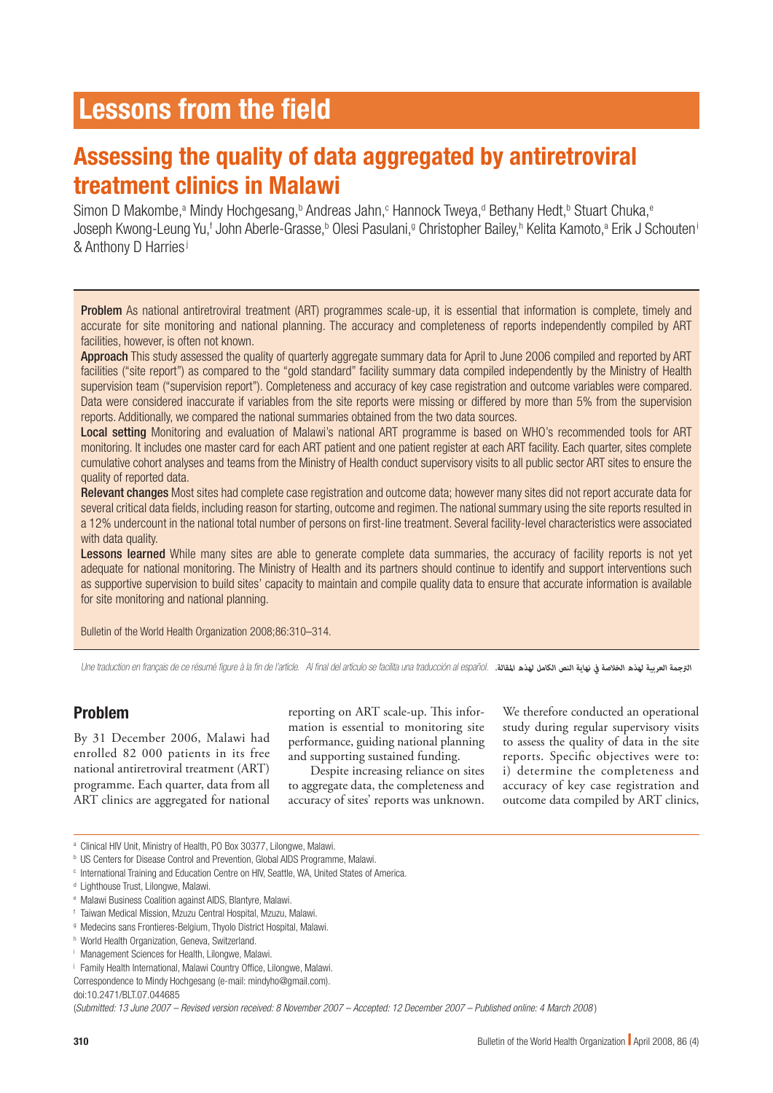# Assessing the quality of data aggregated by antiretroviral treatment clinics in Malawi

Simon D Makombe,<sup>a</sup> Mindy Hochgesang,<sup>b</sup> Andreas Jahn,<sup>c</sup> Hannock Tweya,<sup>d</sup> Bethany Hedt,<sup>b</sup> Stuart Chuka,<sup>e</sup> Joseph Kwong-Leung Yu,<sup>f</sup> John Aberle-Grasse,<sup>b</sup> Olesi Pasulani,<sup>g</sup> Christopher Bailey,<sup>n</sup> Kelita Kamoto,ª Erik J Schouteni & Anthony D Harries<sup>j</sup>

Problem As national antiretroviral treatment (ART) programmes scale-up, it is essential that information is complete, timely and accurate for site monitoring and national planning. The accuracy and completeness of reports independently compiled by ART facilities, however, is often not known.

Approach This study assessed the quality of quarterly aggregate summary data for April to June 2006 compiled and reported by ART facilities ("site report") as compared to the "gold standard" facility summary data compiled independently by the Ministry of Health supervision team ("supervision report"). Completeness and accuracy of key case registration and outcome variables were compared. Data were considered inaccurate if variables from the site reports were missing or differed by more than 5% from the supervision reports. Additionally, we compared the national summaries obtained from the two data sources.

Local setting Monitoring and evaluation of Malawi's national ART programme is based on WHO's recommended tools for ART monitoring. It includes one master card for each ART patient and one patient register at each ART facility. Each quarter, sites complete cumulative cohort analyses and teams from the Ministry of Health conduct supervisory visits to all public sector ART sites to ensure the quality of reported data.

Relevant changes Most sites had complete case registration and outcome data; however many sites did not report accurate data for several critical data fields, including reason for starting, outcome and regimen. The national summary using the site reports resulted in a 12% undercount in the national total number of persons on first-line treatment. Several facility-level characteristics were associated with data quality.

Lessons learned While many sites are able to generate complete data summaries, the accuracy of facility reports is not yet adequate for national monitoring. The Ministry of Health and its partners should continue to identify and support interventions such as supportive supervision to build sites' capacity to maintain and compile quality data to ensure that accurate information is available for site monitoring and national planning.

Bulletin of the World Health Organization 2008;86:310–314.

Une traduction en français de ce résumé figure à la fin de l'article. Al final del artículo se facilita una traducción al español. *.املقالة لهذه الكامل النص نهاية يف الخالصة لهذه العربية الرتجمة*

### Problem

By 31 December 2006, Malawi had enrolled 82 000 patients in its free national antiretroviral treatment (ART) programme. Each quarter, data from all ART clinics are aggregated for national reporting on ART scale-up. This information is essential to monitoring site performance, guiding national planning and supporting sustained funding.

Despite increasing reliance on sites to aggregate data, the completeness and accuracy of sites' reports was unknown.

We therefore conducted an operational study during regular supervisory visits to assess the quality of data in the site reports. Specific objectives were to: i) determine the completeness and accuracy of key case registration and outcome data compiled by ART clinics,

g Medecins sans Frontieres-Belgium, Thyolo District Hospital, Malawi.

- j Family Health International, Malawi Country Office, Lilongwe, Malawi.
- Correspondence to Mindy Hochgesang (e-mail: mindyho@gmail.com).

(*Submitted: 13 June 2007 – Revised version received: 8 November 2007 – Accepted: 12 December 2007 – Published online: 4 March 2008* )

a Clinical HIV Unit, Ministry of Health, PO Box 30377, Lilongwe, Malawi.

**US Centers for Disease Control and Prevention, Global AIDS Programme, Malawi.** 

c International Training and Education Centre on HIV, Seattle, WA, United States of America.

<sup>&</sup>lt;sup>d</sup> Lighthouse Trust, Lilongwe, Malawi.

e Malawi Business Coalition against AIDS, Blantyre, Malawi.

f Taiwan Medical Mission, Mzuzu Central Hospital, Mzuzu, Malawi.

h World Health Organization, Geneva, Switzerland.

i Management Sciences for Health, Lilongwe, Malawi.

doi:10.2471/BLT.07.044685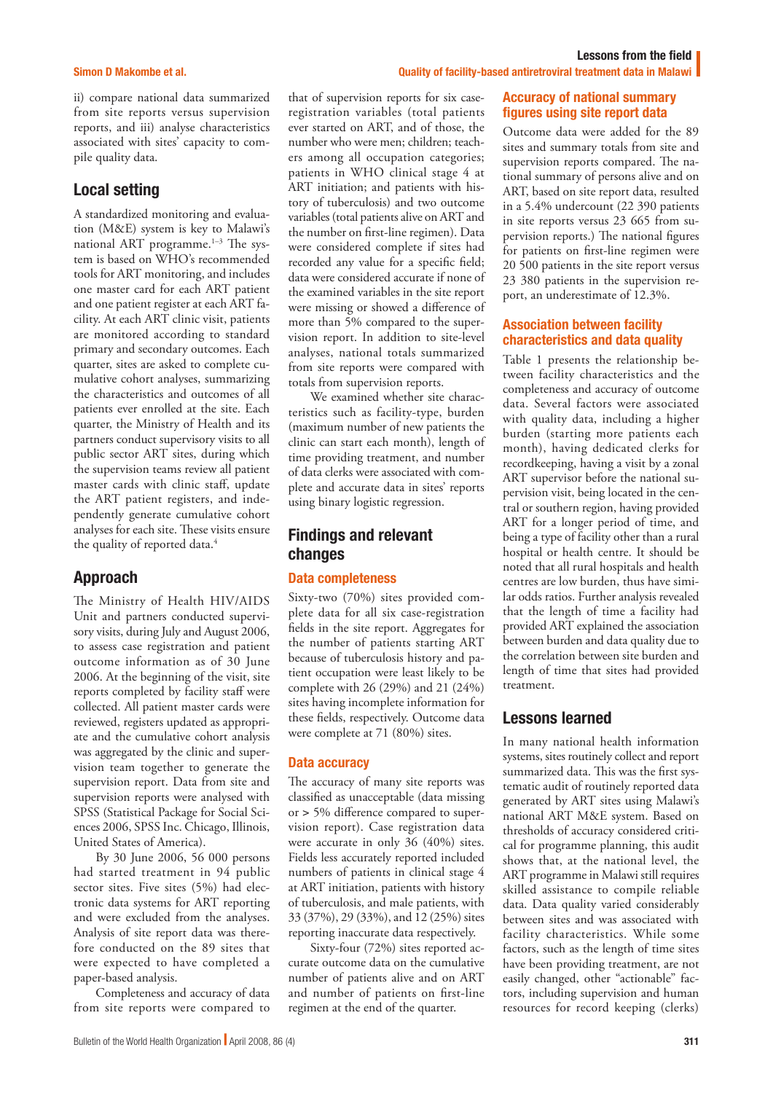#### Simon D Makombe et al.

ii) compare national data summarized from site reports versus supervision reports, and iii) analyse characteristics associated with sites' capacity to compile quality data.

### Local setting

A standardized monitoring and evaluation (M&E) system is key to Malawi's national ART programme. $1-3$  The system is based on WHO's recommended tools for ART monitoring, and includes one master card for each ART patient and one patient register at each ART facility. At each ART clinic visit, patients are monitored according to standard primary and secondary outcomes. Each quarter, sites are asked to complete cumulative cohort analyses, summarizing the characteristics and outcomes of all patients ever enrolled at the site. Each quarter, the Ministry of Health and its partners conduct supervisory visits to all public sector ART sites, during which the supervision teams review all patient master cards with clinic staff, update the ART patient registers, and independently generate cumulative cohort analyses for each site. These visits ensure the quality of reported data.<sup>4</sup>

### Approach

The Ministry of Health HIV/AIDS Unit and partners conducted supervisory visits, during July and August 2006, to assess case registration and patient outcome information as of 30 June 2006. At the beginning of the visit, site reports completed by facility staff were collected. All patient master cards were reviewed, registers updated as appropriate and the cumulative cohort analysis was aggregated by the clinic and supervision team together to generate the supervision report. Data from site and supervision reports were analysed with SPSS (Statistical Package for Social Sciences 2006, SPSS Inc. Chicago, Illinois, United States of America).

By 30 June 2006, 56 000 persons had started treatment in 94 public sector sites. Five sites (5%) had electronic data systems for ART reporting and were excluded from the analyses. Analysis of site report data was therefore conducted on the 89 sites that were expected to have completed a paper-based analysis.

Completeness and accuracy of data from site reports were compared to

that of supervision reports for six caseregistration variables (total patients ever started on ART, and of those, the number who were men; children; teachers among all occupation categories; patients in WHO clinical stage 4 at ART initiation; and patients with history of tuberculosis) and two outcome variables (total patients alive on ART and the number on first-line regimen). Data were considered complete if sites had recorded any value for a specific field; data were considered accurate if none of the examined variables in the site report were missing or showed a difference of more than 5% compared to the supervision report. In addition to site-level analyses, national totals summarized from site reports were compared with totals from supervision reports.

We examined whether site characteristics such as facility-type, burden (maximum number of new patients the clinic can start each month), length of time providing treatment, and number of data clerks were associated with complete and accurate data in sites' reports using binary logistic regression.

## Findings and relevant changes

### Data completeness

Sixty-two (70%) sites provided complete data for all six case-registration fields in the site report. Aggregates for the number of patients starting ART because of tuberculosis history and patient occupation were least likely to be complete with 26 (29%) and 21 (24%) sites having incomplete information for these fields, respectively. Outcome data were complete at 71 (80%) sites.

### Data accuracy

The accuracy of many site reports was classified as unacceptable (data missing or > 5% difference compared to supervision report). Case registration data were accurate in only 36 (40%) sites. Fields less accurately reported included numbers of patients in clinical stage 4 at ART initiation, patients with history of tuberculosis, and male patients, with 33 (37%), 29 (33%), and 12 (25%) sites reporting inaccurate data respectively.

Sixty-four (72%) sites reported accurate outcome data on the cumulative number of patients alive and on ART and number of patients on first-line regimen at the end of the quarter.

### Quality of facility-based antiretroviral treatment data in Malawi

### Accuracy of national summary figures using site report data

Lessons from the field

Outcome data were added for the 89 sites and summary totals from site and supervision reports compared. The national summary of persons alive and on ART, based on site report data, resulted in a 5.4% undercount (22 390 patients in site reports versus 23 665 from supervision reports.) The national figures for patients on first-line regimen were 20 500 patients in the site report versus 23 380 patients in the supervision report, an underestimate of 12.3%.

### Association between facility characteristics and data quality

Table 1 presents the relationship between facility characteristics and the completeness and accuracy of outcome data. Several factors were associated with quality data, including a higher burden (starting more patients each month), having dedicated clerks for recordkeeping, having a visit by a zonal ART supervisor before the national supervision visit, being located in the central or southern region, having provided ART for a longer period of time, and being a type of facility other than a rural hospital or health centre. It should be noted that all rural hospitals and health centres are low burden, thus have similar odds ratios. Further analysis revealed that the length of time a facility had provided ART explained the association between burden and data quality due to the correlation between site burden and length of time that sites had provided treatment.

### Lessons learned

In many national health information systems, sites routinely collect and report summarized data. This was the first systematic audit of routinely reported data generated by ART sites using Malawi's national ART M&E system. Based on thresholds of accuracy considered critical for programme planning, this audit shows that, at the national level, the ART programme in Malawi still requires skilled assistance to compile reliable data. Data quality varied considerably between sites and was associated with facility characteristics. While some factors, such as the length of time sites have been providing treatment, are not easily changed, other "actionable" factors, including supervision and human resources for record keeping (clerks)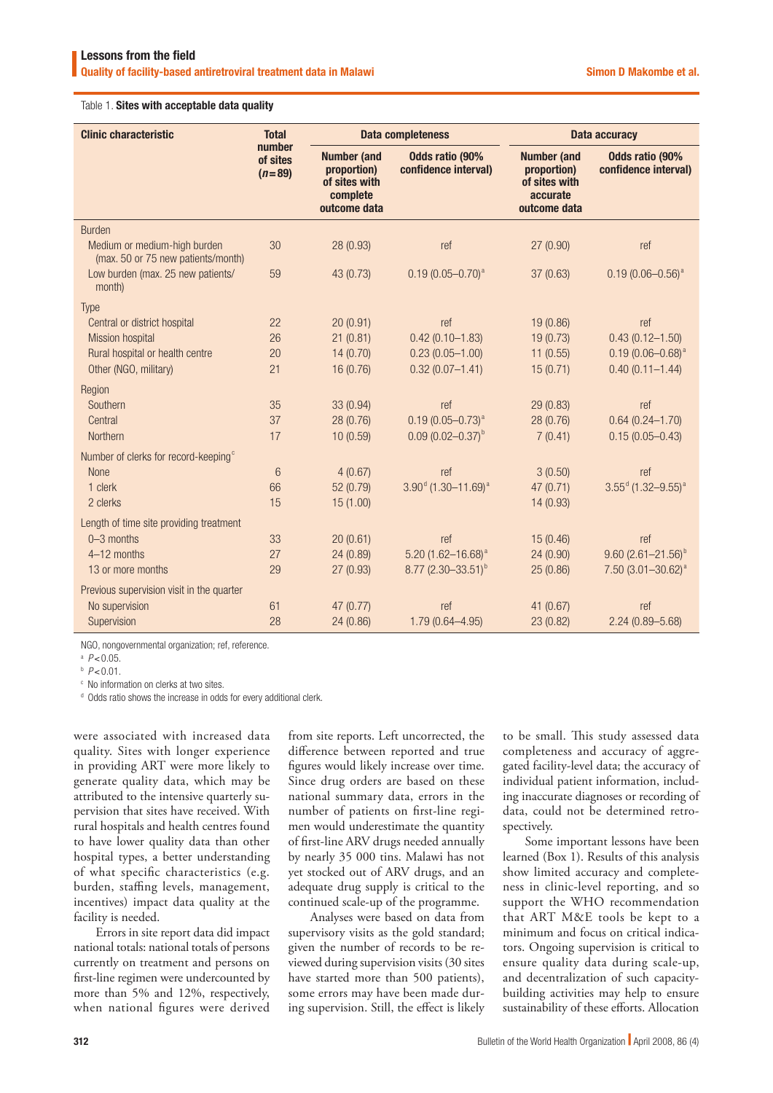#### Table 1. Sites with acceptable data quality

| <b>Clinic characteristic</b>                                       | <b>Total</b><br>number<br>of sites<br>$(n=89)$ | <b>Data completeness</b>                                                       |                                                | Data accuracy                                                                  |                                                |
|--------------------------------------------------------------------|------------------------------------------------|--------------------------------------------------------------------------------|------------------------------------------------|--------------------------------------------------------------------------------|------------------------------------------------|
|                                                                    |                                                | <b>Number (and</b><br>proportion)<br>of sites with<br>complete<br>outcome data | <b>Odds ratio (90%</b><br>confidence interval) | <b>Number (and</b><br>proportion)<br>of sites with<br>accurate<br>outcome data | <b>Odds ratio (90%</b><br>confidence interval) |
| <b>Burden</b>                                                      |                                                |                                                                                |                                                |                                                                                |                                                |
| Medium or medium-high burden<br>(max. 50 or 75 new patients/month) | 30                                             | 28 (0.93)                                                                      | ref                                            | 27 (0.90)                                                                      | ref                                            |
| Low burden (max. 25 new patients/<br>month)                        | 59                                             | 43 (0.73)                                                                      | $0.19(0.05 - 0.70)^{a}$                        | 37(0.63)                                                                       | $0.19(0.06 - 0.56)^{a}$                        |
| <b>Type</b>                                                        |                                                |                                                                                |                                                |                                                                                |                                                |
| Central or district hospital                                       | 22                                             | 20(0.91)                                                                       | ref                                            | 19 (0.86)                                                                      | ref                                            |
| <b>Mission hospital</b>                                            | 26                                             | 21(0.81)                                                                       | $0.42(0.10 - 1.83)$                            | 19(0.73)                                                                       | $0.43(0.12 - 1.50)$                            |
| Rural hospital or health centre                                    | 20                                             | 14(0.70)                                                                       | $0.23(0.05 - 1.00)$                            | 11(0.55)                                                                       | $0.19(0.06 - 0.68)^{a}$                        |
| Other (NGO, military)                                              | 21                                             | 16 (0.76)                                                                      | $0.32(0.07 - 1.41)$                            | 15(0.71)                                                                       | $0.40(0.11 - 1.44)$                            |
| Region                                                             |                                                |                                                                                |                                                |                                                                                |                                                |
| Southern                                                           | 35                                             | 33 (0.94)                                                                      | ref                                            | 29 (0.83)                                                                      | ref                                            |
| Central                                                            | 37                                             | 28 (0.76)                                                                      | $0.19(0.05 - 0.73)^{a}$                        | 28 (0.76)                                                                      | $0.64(0.24 - 1.70)$                            |
| Northern                                                           | 17                                             | 10(0.59)                                                                       | $0.09(0.02 - 0.37)$ <sup>b</sup>               | 7(0.41)                                                                        | $0.15(0.05 - 0.43)$                            |
| Number of clerks for record-keeping <sup>c</sup>                   |                                                |                                                                                |                                                |                                                                                |                                                |
| <b>None</b>                                                        | $6\phantom{1}6$                                | 4(0.67)                                                                        | ref                                            | 3(0.50)                                                                        | ref                                            |
| 1 clerk                                                            | 66                                             | 52 (0.79)                                                                      | $3.90d$ (1.30-11.69) <sup>a</sup>              | 47 (0.71)                                                                      | $3.55^{\text{d}}$ (1.32-9.55) <sup>a</sup>     |
| 2 clerks                                                           | 15                                             | 15(1.00)                                                                       |                                                | 14 (0.93)                                                                      |                                                |
| Length of time site providing treatment                            |                                                |                                                                                |                                                |                                                                                |                                                |
| $0 - 3$ months                                                     | 33                                             | 20(0.61)                                                                       | ref                                            | 15 (0.46)                                                                      | ref                                            |
| 4-12 months                                                        | 27                                             | 24 (0.89)                                                                      | $5.20(1.62 - 16.68)^{a}$                       | 24 (0.90)                                                                      | $9.60(2.61 - 21.56)^{b}$                       |
| 13 or more months                                                  | 29                                             | 27 (0.93)                                                                      | $8.77$ (2.30-33.51) <sup>b</sup>               | 25(0.86)                                                                       | $7.50$ (3.01-30.62) <sup>a</sup>               |
| Previous supervision visit in the quarter                          |                                                |                                                                                |                                                |                                                                                |                                                |
| No supervision                                                     | 61                                             | 47(0.77)                                                                       | ref                                            | 41 (0.67)                                                                      | ref                                            |
| Supervision                                                        | 28                                             | 24(0.86)                                                                       | 1.79 (0.64-4.95)                               | 23 (0.82)                                                                      | $2.24(0.89 - 5.68)$                            |

NGO, nongovernmental organization; ref, reference.

a *P*<0.05.

b *P*<0.01.

c No information on clerks at two sites.

<sup>d</sup> Odds ratio shows the increase in odds for every additional clerk.

were associated with increased data quality. Sites with longer experience in providing ART were more likely to generate quality data, which may be attributed to the intensive quarterly supervision that sites have received. With rural hospitals and health centres found to have lower quality data than other hospital types, a better understanding of what specific characteristics (e.g. burden, staffing levels, management, incentives) impact data quality at the facility is needed.

Errors in site report data did impact national totals: national totals of persons currently on treatment and persons on first-line regimen were undercounted by more than 5% and 12%, respectively, when national figures were derived

from site reports. Left uncorrected, the difference between reported and true figures would likely increase over time. Since drug orders are based on these national summary data, errors in the number of patients on first-line regimen would underestimate the quantity of first-line ARV drugs needed annually by nearly 35 000 tins. Malawi has not yet stocked out of ARV drugs, and an adequate drug supply is critical to the continued scale-up of the programme.

Analyses were based on data from supervisory visits as the gold standard; given the number of records to be reviewed during supervision visits (30 sites have started more than 500 patients), some errors may have been made during supervision. Still, the effect is likely to be small. This study assessed data completeness and accuracy of aggregated facility-level data; the accuracy of individual patient information, including inaccurate diagnoses or recording of data, could not be determined retrospectively.

Some important lessons have been learned (Box 1). Results of this analysis show limited accuracy and completeness in clinic-level reporting, and so support the WHO recommendation that ART M&E tools be kept to a minimum and focus on critical indicators. Ongoing supervision is critical to ensure quality data during scale-up, and decentralization of such capacitybuilding activities may help to ensure sustainability of these efforts. Allocation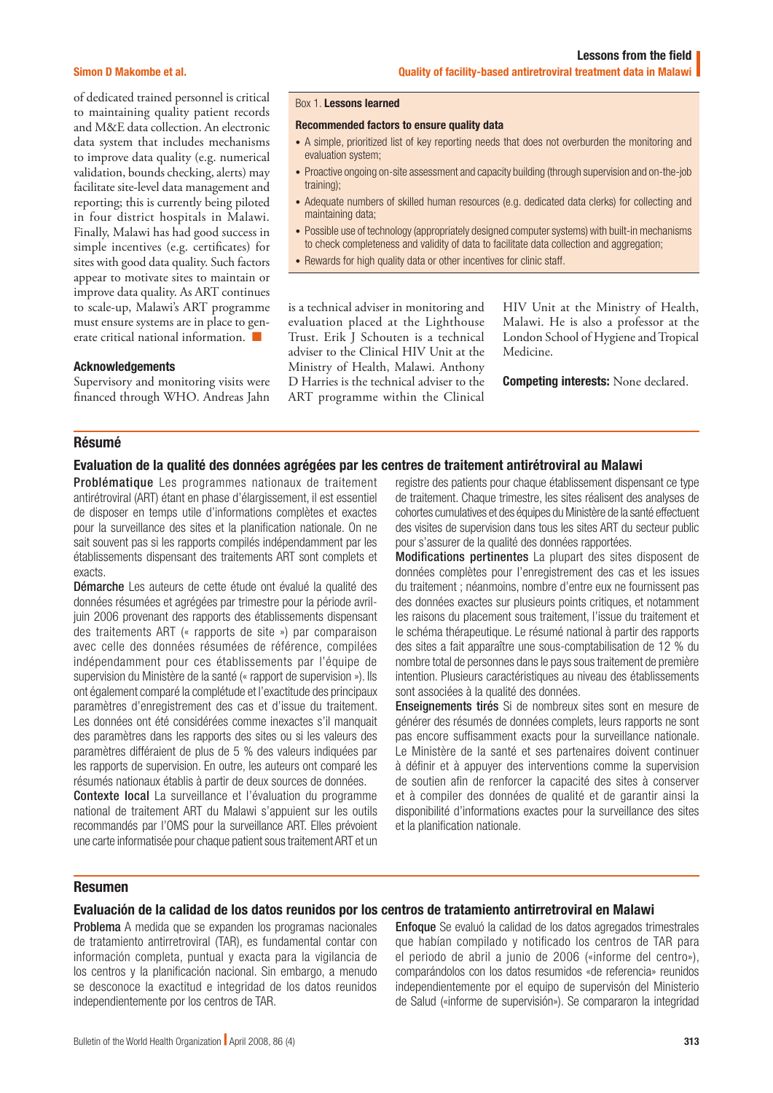#### Simon D Makombe et al.

of dedicated trained personnel is critical to maintaining quality patient records and M&E data collection. An electronic data system that includes mechanisms to improve data quality (e.g. numerical validation, bounds checking, alerts) may facilitate site-level data management and reporting; this is currently being piloted in four district hospitals in Malawi. Finally, Malawi has had good success in simple incentives (e.g. certificates) for sites with good data quality. Such factors appear to motivate sites to maintain or improve data quality. As ART continues to scale-up, Malawi's ART programme must ensure systems are in place to generate critical national information. ■

#### Acknowledgements

Supervisory and monitoring visits were financed through WHO. Andreas Jahn

#### Box 1. Lessons learned

#### Recommended factors to ensure quality data

- A simple, prioritized list of key reporting needs that does not overburden the monitoring and evaluation system;
- Proactive ongoing on-site assessment and capacity building (through supervision and on-the-job training);
- Adequate numbers of skilled human resources (e.g. dedicated data clerks) for collecting and maintaining data;
- Possible use of technology (appropriately designed computer systems) with built-in mechanisms to check completeness and validity of data to facilitate data collection and aggregation;
- Rewards for high quality data or other incentives for clinic staff.

is a technical adviser in monitoring and evaluation placed at the Lighthouse Trust. Erik J Schouten is a technical adviser to the Clinical HIV Unit at the Ministry of Health, Malawi. Anthony D Harries is the technical adviser to the ART programme within the Clinical HIV Unit at the Ministry of Health, Malawi. He is also a professor at the London School of Hygiene and Tropical Medicine.

Competing interests: None declared.

#### Résumé

#### Evaluation de la qualité des données agrégées par les centres de traitement antirétroviral au Malawi

Problématique Les programmes nationaux de traitement antirétroviral (ART) étant en phase d'élargissement, il est essentiel de disposer en temps utile d'informations complètes et exactes pour la surveillance des sites et la planification nationale. On ne sait souvent pas si les rapports compilés indépendamment par les établissements dispensant des traitements ART sont complets et exacts.

Démarche Les auteurs de cette étude ont évalué la qualité des données résumées et agrégées par trimestre pour la période avriljuin 2006 provenant des rapports des établissements dispensant des traitements ART (« rapports de site ») par comparaison avec celle des données résumées de référence, compilées indépendamment pour ces établissements par l'équipe de supervision du Ministère de la santé (« rapport de supervision »). Ils ont également comparé la complétude et l'exactitude des principaux paramètres d'enregistrement des cas et d'issue du traitement. Les données ont été considérées comme inexactes s'il manquait des paramètres dans les rapports des sites ou si les valeurs des paramètres différaient de plus de 5 % des valeurs indiquées par les rapports de supervision. En outre, les auteurs ont comparé les résumés nationaux établis à partir de deux sources de données.

Contexte local La surveillance et l'évaluation du programme national de traitement ART du Malawi s'appuient sur les outils recommandés par l'OMS pour la surveillance ART. Elles prévoient une carte informatisée pour chaque patient sous traitement ART et un

registre des patients pour chaque établissement dispensant ce type de traitement. Chaque trimestre, les sites réalisent des analyses de cohortes cumulatives et des équipes du Ministère de la santé effectuent des visites de supervision dans tous les sites ART du secteur public pour s'assurer de la qualité des données rapportées.

Modifications pertinentes La plupart des sites disposent de données complètes pour l'enregistrement des cas et les issues du traitement ; néanmoins, nombre d'entre eux ne fournissent pas des données exactes sur plusieurs points critiques, et notamment les raisons du placement sous traitement, l'issue du traitement et le schéma thérapeutique. Le résumé national à partir des rapports des sites a fait apparaître une sous-comptabilisation de 12 % du nombre total de personnes dans le pays sous traitement de première intention. Plusieurs caractéristiques au niveau des établissements sont associées à la qualité des données.

**Enseignements tirés** Si de nombreux sites sont en mesure de générer des résumés de données complets, leurs rapports ne sont pas encore suffisamment exacts pour la surveillance nationale. Le Ministère de la santé et ses partenaires doivent continuer à définir et à appuyer des interventions comme la supervision de soutien afin de renforcer la capacité des sites à conserver et à compiler des données de qualité et de garantir ainsi la disponibilité d'informations exactes pour la surveillance des sites et la planification nationale.

#### Resumen

#### Evaluación de la calidad de los datos reunidos por los centros de tratamiento antirretroviral en Malawi

Problema A medida que se expanden los programas nacionales de tratamiento antirretroviral (TAR), es fundamental contar con información completa, puntual y exacta para la vigilancia de los centros y la planificación nacional. Sin embargo, a menudo se desconoce la exactitud e integridad de los datos reunidos independientemente por los centros de TAR.

Enfoque Se evaluó la calidad de los datos agregados trimestrales que habían compilado y notificado los centros de TAR para el periodo de abril a junio de 2006 («informe del centro»), comparándolos con los datos resumidos «de referencia» reunidos independientemente por el equipo de supervisón del Ministerio de Salud («informe de supervisión»). Se compararon la integridad